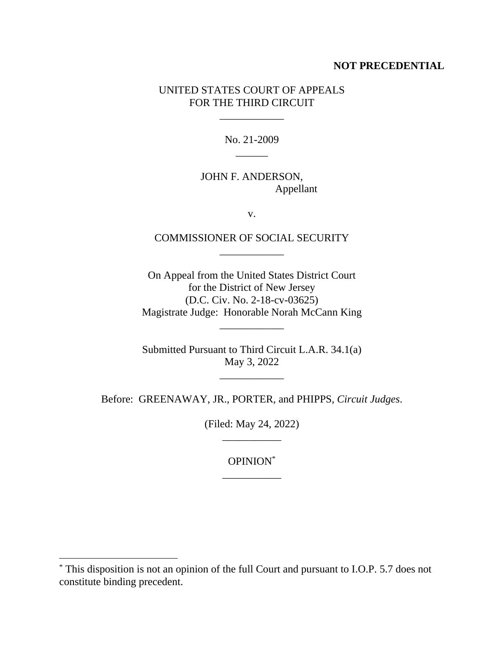# **NOT PRECEDENTIAL**

# UNITED STATES COURT OF APPEALS FOR THE THIRD CIRCUIT

\_\_\_\_\_\_\_\_\_\_\_\_

No. 21-2009  $\overline{\phantom{a}}$ 

# JOHN F. ANDERSON, Appellant

v.

# COMMISSIONER OF SOCIAL SECURITY \_\_\_\_\_\_\_\_\_\_\_\_

On Appeal from the United States District Court for the District of New Jersey (D.C. Civ. No. 2-18-cv-03625) Magistrate Judge: Honorable Norah McCann King

\_\_\_\_\_\_\_\_\_\_\_\_

Submitted Pursuant to Third Circuit L.A.R. 34.1(a) May 3, 2022

\_\_\_\_\_\_\_\_\_\_\_\_

Before: GREENAWAY, JR., PORTER, and PHIPPS, *Circuit Judges*.

(Filed: May 24, 2022) \_\_\_\_\_\_\_\_\_\_\_

> OPINION\* \_\_\_\_\_\_\_\_\_\_\_

<sup>\*</sup> This disposition is not an opinion of the full Court and pursuant to I.O.P. 5.7 does not constitute binding precedent.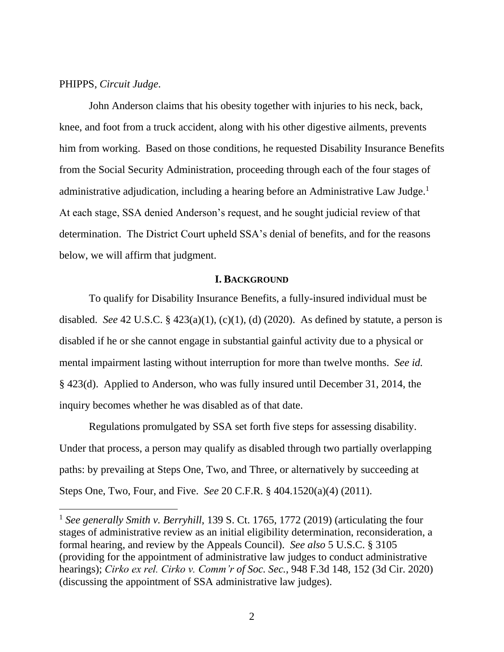### PHIPPS, *Circuit Judge*.

John Anderson claims that his obesity together with injuries to his neck, back, knee, and foot from a truck accident, along with his other digestive ailments, prevents him from working. Based on those conditions, he requested Disability Insurance Benefits from the Social Security Administration, proceeding through each of the four stages of administrative adjudication, including a hearing before an Administrative Law Judge.<sup>1</sup> At each stage, SSA denied Anderson's request, and he sought judicial review of that determination. The District Court upheld SSA's denial of benefits, and for the reasons below, we will affirm that judgment.

#### **I. BACKGROUND**

To qualify for Disability Insurance Benefits, a fully-insured individual must be disabled. *See* 42 U.S.C.  $\S$  423(a)(1), (c)(1), (d) (2020). As defined by statute, a person is disabled if he or she cannot engage in substantial gainful activity due to a physical or mental impairment lasting without interruption for more than twelve months. *See id.* § 423(d). Applied to Anderson, who was fully insured until December 31, 2014, the inquiry becomes whether he was disabled as of that date.

Regulations promulgated by SSA set forth five steps for assessing disability. Under that process, a person may qualify as disabled through two partially overlapping paths: by prevailing at Steps One, Two, and Three, or alternatively by succeeding at Steps One, Two, Four, and Five. *See* 20 C.F.R. § 404.1520(a)(4) (2011).

<sup>1</sup> *See generally Smith v. Berryhill*, 139 S. Ct. 1765, 1772 (2019) (articulating the four stages of administrative review as an initial eligibility determination, reconsideration, a formal hearing, and review by the Appeals Council). *See also* 5 U.S.C. § 3105 (providing for the appointment of administrative law judges to conduct administrative hearings); *Cirko ex rel. Cirko v. Comm'r of Soc. Sec.*, 948 F.3d 148, 152 (3d Cir. 2020) (discussing the appointment of SSA administrative law judges).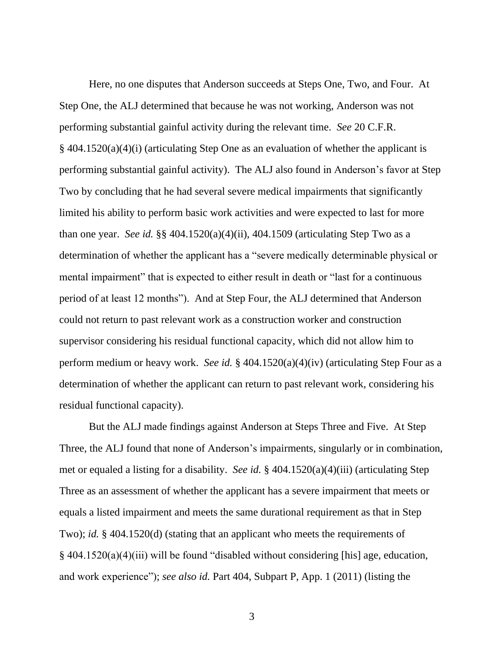Here, no one disputes that Anderson succeeds at Steps One, Two, and Four. At Step One, the ALJ determined that because he was not working, Anderson was not performing substantial gainful activity during the relevant time. *See* 20 C.F.R.  $\S$  404.1520(a)(4)(i) (articulating Step One as an evaluation of whether the applicant is performing substantial gainful activity). The ALJ also found in Anderson's favor at Step Two by concluding that he had several severe medical impairments that significantly limited his ability to perform basic work activities and were expected to last for more than one year. *See id.* §§ 404.1520(a)(4)(ii), 404.1509 (articulating Step Two as a determination of whether the applicant has a "severe medically determinable physical or mental impairment" that is expected to either result in death or "last for a continuous period of at least 12 months"). And at Step Four, the ALJ determined that Anderson could not return to past relevant work as a construction worker and construction supervisor considering his residual functional capacity, which did not allow him to perform medium or heavy work. *See id.* § 404.1520(a)(4)(iv) (articulating Step Four as a determination of whether the applicant can return to past relevant work, considering his residual functional capacity).

But the ALJ made findings against Anderson at Steps Three and Five. At Step Three, the ALJ found that none of Anderson's impairments, singularly or in combination, met or equaled a listing for a disability. *See id.* § 404.1520(a)(4)(iii) (articulating Step Three as an assessment of whether the applicant has a severe impairment that meets or equals a listed impairment and meets the same durational requirement as that in Step Two); *id.* § 404.1520(d) (stating that an applicant who meets the requirements of § 404.1520(a)(4)(iii) will be found "disabled without considering [his] age, education, and work experience"); *see also id.* Part 404, Subpart P, App. 1 (2011) (listing the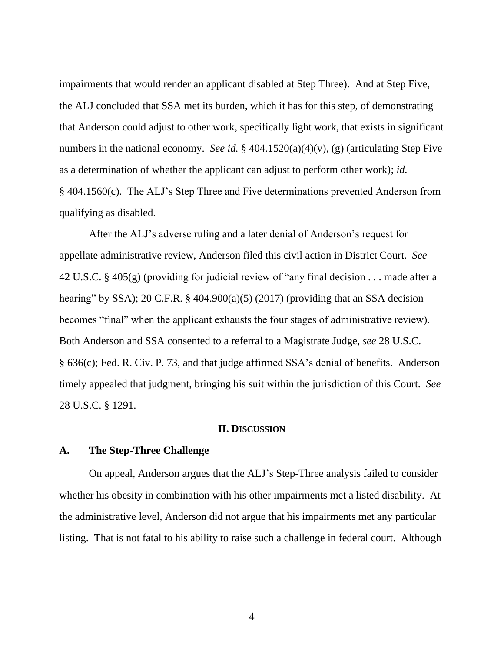impairments that would render an applicant disabled at Step Three). And at Step Five, the ALJ concluded that SSA met its burden, which it has for this step, of demonstrating that Anderson could adjust to other work, specifically light work, that exists in significant numbers in the national economy. *See id.* § 404.1520(a)(4)(v), (g) (articulating Step Five as a determination of whether the applicant can adjust to perform other work); *id.*  § 404.1560(c). The ALJ's Step Three and Five determinations prevented Anderson from qualifying as disabled.

After the ALJ's adverse ruling and a later denial of Anderson's request for appellate administrative review, Anderson filed this civil action in District Court. *See*  42 U.S.C. § 405(g) (providing for judicial review of "any final decision . . . made after a hearing" by SSA); 20 C.F.R.  $\S$  404.900(a)(5) (2017) (providing that an SSA decision becomes "final" when the applicant exhausts the four stages of administrative review). Both Anderson and SSA consented to a referral to a Magistrate Judge, *see* 28 U.S.C. § 636(c); Fed. R. Civ. P. 73, and that judge affirmed SSA's denial of benefits. Anderson timely appealed that judgment, bringing his suit within the jurisdiction of this Court. *See*  28 U.S.C. § 1291.

#### **II. DISCUSSION**

### **A. The Step-Three Challenge**

On appeal, Anderson argues that the ALJ's Step-Three analysis failed to consider whether his obesity in combination with his other impairments met a listed disability. At the administrative level, Anderson did not argue that his impairments met any particular listing. That is not fatal to his ability to raise such a challenge in federal court. Although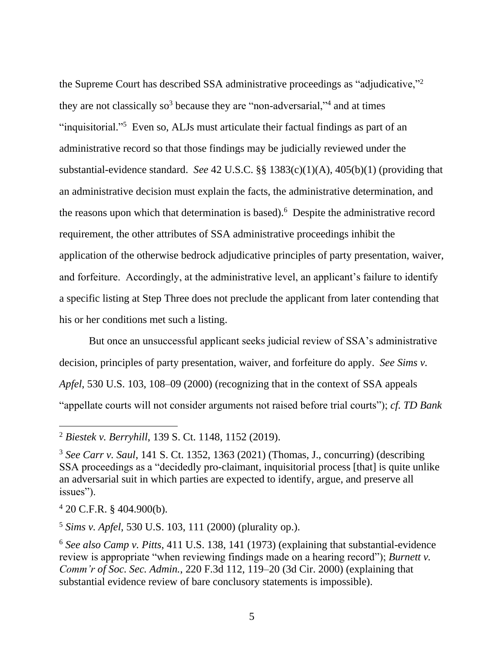the Supreme Court has described SSA administrative proceedings as "adjudicative,"<sup>2</sup> they are not classically so<sup>3</sup> because they are "non-adversarial,"<sup>4</sup> and at times "inquisitorial."<sup>5</sup> Even so, ALJs must articulate their factual findings as part of an administrative record so that those findings may be judicially reviewed under the substantial-evidence standard. *See* 42 U.S.C. §§ 1383(c)(1)(A), 405(b)(1) (providing that an administrative decision must explain the facts, the administrative determination, and the reasons upon which that determination is based).<sup>6</sup> Despite the administrative record requirement, the other attributes of SSA administrative proceedings inhibit the application of the otherwise bedrock adjudicative principles of party presentation, waiver, and forfeiture. Accordingly, at the administrative level, an applicant's failure to identify a specific listing at Step Three does not preclude the applicant from later contending that his or her conditions met such a listing.

But once an unsuccessful applicant seeks judicial review of SSA's administrative decision, principles of party presentation, waiver, and forfeiture do apply. *See Sims v. Apfel*, 530 U.S. 103, 108–09 (2000) (recognizing that in the context of SSA appeals "appellate courts will not consider arguments not raised before trial courts"); *cf. TD Bank* 

<sup>4</sup> 20 C.F.R. § 404.900(b).

<sup>5</sup> *Sims v. Apfel*, 530 U.S. 103, 111 (2000) (plurality op.).

<sup>2</sup> *Biestek v. Berryhill*, 139 S. Ct. 1148, 1152 (2019).

<sup>3</sup> *See Carr v. Saul*, 141 S. Ct. 1352, 1363 (2021) (Thomas, J., concurring) (describing SSA proceedings as a "decidedly pro-claimant, inquisitorial process [that] is quite unlike an adversarial suit in which parties are expected to identify, argue, and preserve all issues").

<sup>6</sup> *See also Camp v. Pitts*, 411 U.S. 138, 141 (1973) (explaining that substantial-evidence review is appropriate "when reviewing findings made on a hearing record"); *Burnett v. Comm'r of Soc. Sec. Admin.*, 220 F.3d 112, 119–20 (3d Cir. 2000) (explaining that substantial evidence review of bare conclusory statements is impossible).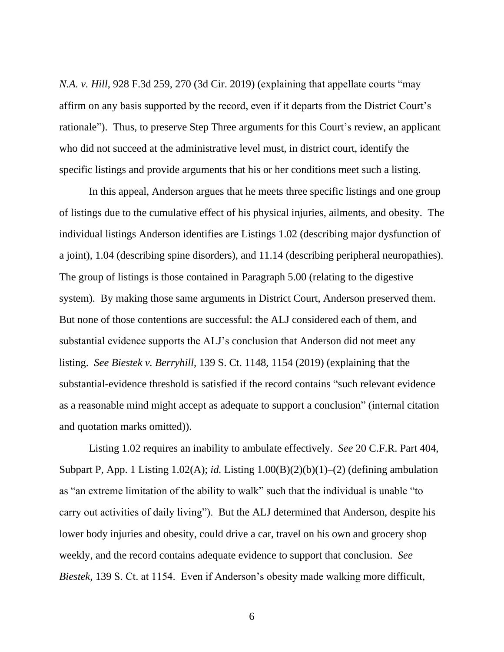*N.A. v. Hill*, 928 F.3d 259, 270 (3d Cir. 2019) (explaining that appellate courts "may affirm on any basis supported by the record, even if it departs from the District Court's rationale"). Thus, to preserve Step Three arguments for this Court's review, an applicant who did not succeed at the administrative level must, in district court, identify the specific listings and provide arguments that his or her conditions meet such a listing.

In this appeal, Anderson argues that he meets three specific listings and one group of listings due to the cumulative effect of his physical injuries, ailments, and obesity. The individual listings Anderson identifies are Listings 1.02 (describing major dysfunction of a joint), 1.04 (describing spine disorders), and 11.14 (describing peripheral neuropathies). The group of listings is those contained in Paragraph 5.00 (relating to the digestive system). By making those same arguments in District Court, Anderson preserved them. But none of those contentions are successful: the ALJ considered each of them, and substantial evidence supports the ALJ's conclusion that Anderson did not meet any listing. *See Biestek v. Berryhill*, 139 S. Ct. 1148, 1154 (2019) (explaining that the substantial-evidence threshold is satisfied if the record contains "such relevant evidence as a reasonable mind might accept as adequate to support a conclusion" (internal citation and quotation marks omitted)).

Listing 1.02 requires an inability to ambulate effectively. *See* 20 C.F.R. Part 404, Subpart P, App. 1 Listing 1.02(A); *id.* Listing 1.00(B)(2)(b)(1)–(2) (defining ambulation as "an extreme limitation of the ability to walk" such that the individual is unable "to carry out activities of daily living"). But the ALJ determined that Anderson, despite his lower body injuries and obesity, could drive a car, travel on his own and grocery shop weekly, and the record contains adequate evidence to support that conclusion. *See Biestek*, 139 S. Ct. at 1154. Even if Anderson's obesity made walking more difficult,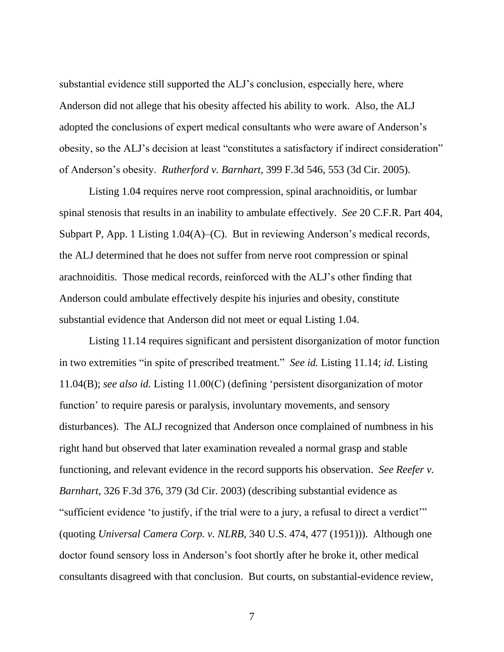substantial evidence still supported the ALJ's conclusion, especially here, where Anderson did not allege that his obesity affected his ability to work. Also, the ALJ adopted the conclusions of expert medical consultants who were aware of Anderson's obesity, so the ALJ's decision at least "constitutes a satisfactory if indirect consideration" of Anderson's obesity. *Rutherford v. Barnhart*, 399 F.3d 546, 553 (3d Cir. 2005).

Listing 1.04 requires nerve root compression, spinal arachnoiditis, or lumbar spinal stenosis that results in an inability to ambulate effectively. *See* 20 C.F.R. Part 404, Subpart P, App. 1 Listing 1.04(A)–(C). But in reviewing Anderson's medical records, the ALJ determined that he does not suffer from nerve root compression or spinal arachnoiditis. Those medical records, reinforced with the ALJ's other finding that Anderson could ambulate effectively despite his injuries and obesity, constitute substantial evidence that Anderson did not meet or equal Listing 1.04.

Listing 11.14 requires significant and persistent disorganization of motor function in two extremities "in spite of prescribed treatment." *See id.* Listing 11.14; *id.* Listing 11.04(B); *see also id.* Listing 11.00(C) (defining 'persistent disorganization of motor function' to require paresis or paralysis, involuntary movements, and sensory disturbances). The ALJ recognized that Anderson once complained of numbness in his right hand but observed that later examination revealed a normal grasp and stable functioning, and relevant evidence in the record supports his observation. *See Reefer v. Barnhart*, 326 F.3d 376, 379 (3d Cir. 2003) (describing substantial evidence as "sufficient evidence 'to justify, if the trial were to a jury, a refusal to direct a verdict'" (quoting *Universal Camera Corp. v. NLRB*, 340 U.S. 474, 477 (1951))). Although one doctor found sensory loss in Anderson's foot shortly after he broke it, other medical consultants disagreed with that conclusion. But courts, on substantial-evidence review,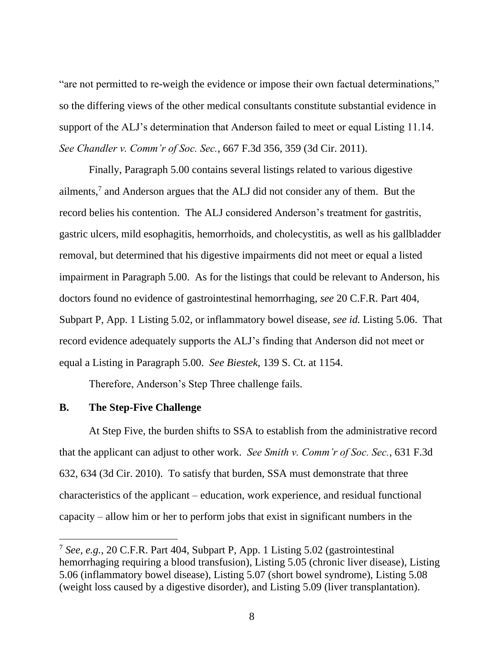"are not permitted to re-weigh the evidence or impose their own factual determinations," so the differing views of the other medical consultants constitute substantial evidence in support of the ALJ's determination that Anderson failed to meet or equal Listing 11.14. *See Chandler v. Comm'r of Soc. Sec.*, 667 F.3d 356, 359 (3d Cir. 2011).

Finally, Paragraph 5.00 contains several listings related to various digestive ailments, 7 and Anderson argues that the ALJ did not consider any of them. But the record belies his contention. The ALJ considered Anderson's treatment for gastritis, gastric ulcers, mild esophagitis, hemorrhoids, and cholecystitis, as well as his gallbladder removal, but determined that his digestive impairments did not meet or equal a listed impairment in Paragraph 5.00. As for the listings that could be relevant to Anderson, his doctors found no evidence of gastrointestinal hemorrhaging, *see* 20 C.F.R. Part 404, Subpart P, App. 1 Listing 5.02, or inflammatory bowel disease, *see id.* Listing 5.06. That record evidence adequately supports the ALJ's finding that Anderson did not meet or equal a Listing in Paragraph 5.00. *See Biestek*, 139 S. Ct. at 1154.

Therefore, Anderson's Step Three challenge fails.

# **B. The Step-Five Challenge**

At Step Five, the burden shifts to SSA to establish from the administrative record that the applicant can adjust to other work. *See Smith v. Comm'r of Soc. Sec.*, 631 F.3d 632, 634 (3d Cir. 2010). To satisfy that burden, SSA must demonstrate that three characteristics of the applicant – education, work experience, and residual functional capacity – allow him or her to perform jobs that exist in significant numbers in the

<sup>7</sup> *See, e.g.*, 20 C.F.R. Part 404, Subpart P, App. 1 Listing 5.02 (gastrointestinal hemorrhaging requiring a blood transfusion), Listing 5.05 (chronic liver disease), Listing 5.06 (inflammatory bowel disease), Listing 5.07 (short bowel syndrome), Listing 5.08 (weight loss caused by a digestive disorder), and Listing 5.09 (liver transplantation).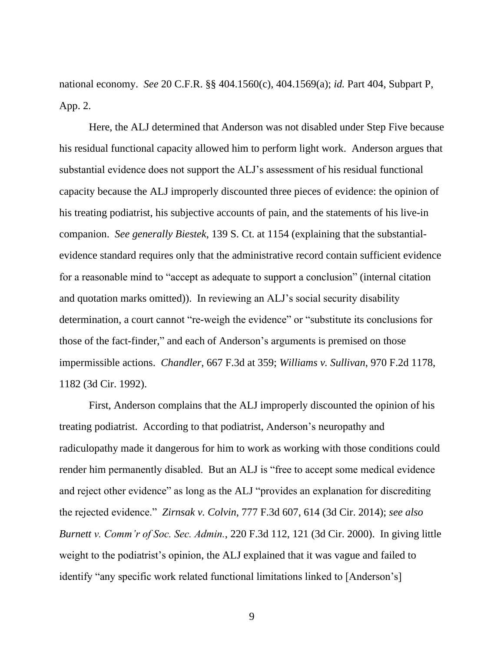national economy. *See* 20 C.F.R. §§ 404.1560(c), 404.1569(a); *id.* Part 404, Subpart P, App. 2.

Here, the ALJ determined that Anderson was not disabled under Step Five because his residual functional capacity allowed him to perform light work. Anderson argues that substantial evidence does not support the ALJ's assessment of his residual functional capacity because the ALJ improperly discounted three pieces of evidence: the opinion of his treating podiatrist, his subjective accounts of pain, and the statements of his live-in companion. *See generally Biestek*, 139 S. Ct. at 1154 (explaining that the substantialevidence standard requires only that the administrative record contain sufficient evidence for a reasonable mind to "accept as adequate to support a conclusion" (internal citation and quotation marks omitted)). In reviewing an ALJ's social security disability determination, a court cannot "re-weigh the evidence" or "substitute its conclusions for those of the fact-finder," and each of Anderson's arguments is premised on those impermissible actions. *Chandler*, 667 F.3d at 359; *Williams v. Sullivan*, 970 F.2d 1178, 1182 (3d Cir. 1992).

First, Anderson complains that the ALJ improperly discounted the opinion of his treating podiatrist. According to that podiatrist, Anderson's neuropathy and radiculopathy made it dangerous for him to work as working with those conditions could render him permanently disabled. But an ALJ is "free to accept some medical evidence and reject other evidence" as long as the ALJ "provides an explanation for discrediting the rejected evidence." *Zirnsak v. Colvin*, 777 F.3d 607, 614 (3d Cir. 2014); *see also Burnett v. Comm'r of Soc. Sec. Admin.*, 220 F.3d 112, 121 (3d Cir. 2000). In giving little weight to the podiatrist's opinion, the ALJ explained that it was vague and failed to identify "any specific work related functional limitations linked to [Anderson's]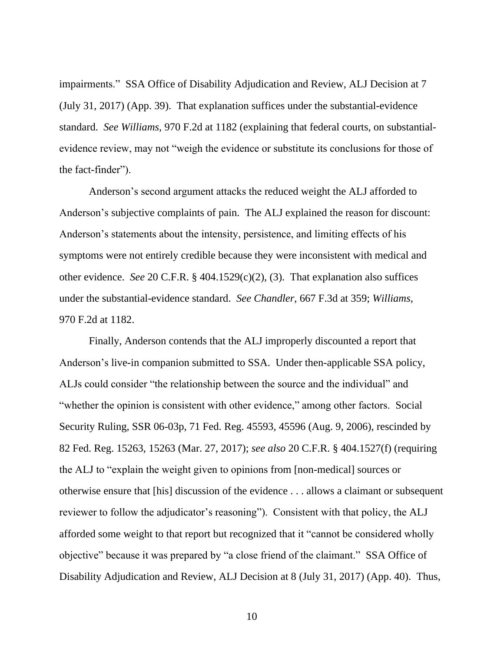impairments." SSA Office of Disability Adjudication and Review, ALJ Decision at 7 (July 31, 2017) (App. 39). That explanation suffices under the substantial-evidence standard. *See Williams*, 970 F.2d at 1182 (explaining that federal courts, on substantialevidence review, may not "weigh the evidence or substitute its conclusions for those of the fact-finder").

Anderson's second argument attacks the reduced weight the ALJ afforded to Anderson's subjective complaints of pain. The ALJ explained the reason for discount: Anderson's statements about the intensity, persistence, and limiting effects of his symptoms were not entirely credible because they were inconsistent with medical and other evidence. *See* 20 C.F.R. § 404.1529(c)(2), (3). That explanation also suffices under the substantial-evidence standard. *See Chandler*, 667 F.3d at 359; *Williams*, 970 F.2d at 1182.

Finally, Anderson contends that the ALJ improperly discounted a report that Anderson's live-in companion submitted to SSA. Under then-applicable SSA policy, ALJs could consider "the relationship between the source and the individual" and "whether the opinion is consistent with other evidence," among other factors. Social Security Ruling, SSR 06-03p, 71 Fed. Reg. 45593, 45596 (Aug. 9, 2006), rescinded by 82 Fed. Reg. 15263, 15263 (Mar. 27, 2017); *see also* 20 C.F.R. § 404.1527(f) (requiring the ALJ to "explain the weight given to opinions from [non-medical] sources or otherwise ensure that [his] discussion of the evidence . . . allows a claimant or subsequent reviewer to follow the adjudicator's reasoning"). Consistent with that policy, the ALJ afforded some weight to that report but recognized that it "cannot be considered wholly objective" because it was prepared by "a close friend of the claimant." SSA Office of Disability Adjudication and Review, ALJ Decision at 8 (July 31, 2017) (App. 40). Thus,